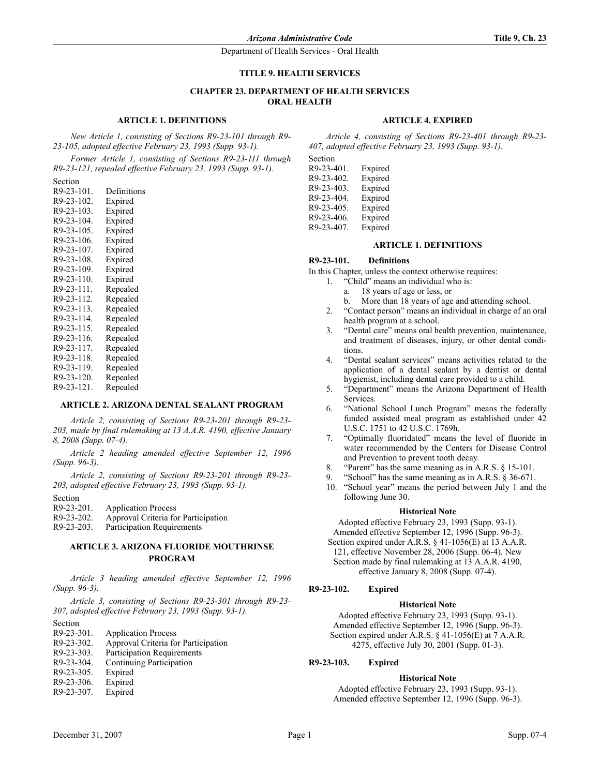Department of Health Services - Oral Health

## **TITLE 9. HEALTH SERVICES**

## **CHAPTER 23. DEPARTMENT OF HEALTH SERVICES ORAL HEALTH**

### **ARTICLE 1. DEFINITIONS**

*New Article 1, consisting of Sections R9-23-101 through R9- 23-105, adopted effective February 23, 1993 (Supp. 93-1).*

*Former Article 1, consisting of Sections R9-23-111 through R9-23-121, repealed effective February 23, 1993 (Supp. 93-1).*

Section

| R9-23-101.    | Definitions |
|---------------|-------------|
| R9-23-102.    | Expired     |
| R9-23-103.    | Expired     |
| R9-23-104.    | Expired     |
| R9-23-105.    | Expired     |
| R9-23-106.    | Expired     |
| R9-23-107.    | Expired     |
| R9-23-108.    | Expired     |
| R9-23-109.    | Expired     |
| R9-23-110.    | Expired     |
| R9-23-111.    | Repealed    |
| R9-23-112.    | Repealed    |
| $R9-23-113$ . | Repealed    |
| R9-23-114.    | Repealed    |
| R9-23-115.    | Repealed    |
| R9-23-116.    | Repealed    |
| R9-23-117.    | Repealed    |
| R9-23-118.    | Repealed    |
| R9-23-119.    | Repealed    |
| R9-23-120.    | Repealed    |
| R9-23-121.    | Repealed    |
|               |             |

## **ARTICLE 2. ARIZONA DENTAL SEALANT PROGRAM**

*Article 2, consisting of Sections R9-23-201 through R9-23- 203, made by final rulemaking at 13 A.A.R. 4190, effective January 8, 2008 (Supp. 07-4).*

*Article 2 heading amended effective September 12, 1996 (Supp. 96-3).*

*Article 2, consisting of Sections R9-23-201 through R9-23- 203, adopted effective February 23, 1993 (Supp. 93-1).*

Section

| R9-23-201. | <b>Application Process</b>          |
|------------|-------------------------------------|
| R9-23-202. | Approval Criteria for Participation |

R9-23-203. Participation Requirements

# **ARTICLE 3. ARIZONA FLUORIDE MOUTHRINSE PROGRAM**

*Article 3 heading amended effective September 12, 1996 (Supp. 96-3).*

*Article 3, consisting of Sections R9-23-301 through R9-23- 307, adopted effective February 23, 1993 (Supp. 93-1).*

Section

- R9-23-301. Application Process
- R9-23-302. Approval Criteria for Participation<br>R9-23-303. Participation Requirements
- Participation Requirements
- R9-23-304. Continuing Participation
- R9-23-305. Expired
- R9-23-306. Expired
- R9-23-307. Expired

## **ARTICLE 4. EXPIRED**

*Article 4, consisting of Sections R9-23-401 through R9-23- 407, adopted effective February 23, 1993 (Supp. 93-1).*

Section R9-23-401. Expired R9-23-402. Expired

| R9-23-403. | Expired |
|------------|---------|
| R9-23-404. | Expired |
| R9-23-405. | Expired |
| R9-23-406. | Expired |
| R9-23-407. | Expired |

#### **ARTICLE 1. DEFINITIONS**

#### **R9-23-101. Definitions**

In this Chapter, unless the context otherwise requires:

- 1. "Child" means an individual who is:
	- a. 18 years of age or less, or
	- b. More than 18 years of age and attending school.
- 2. "Contact person" means an individual in charge of an oral health program at a school.
- 3. "Dental care" means oral health prevention, maintenance, and treatment of diseases, injury, or other dental conditions.
- 4. "Dental sealant services" means activities related to the application of a dental sealant by a dentist or dental hygienist, including dental care provided to a child.
- 5. "Department" means the Arizona Department of Health Services.
- 6. "National School Lunch Program" means the federally funded assisted meal program as established under 42 U.S.C. 1751 to 42 U.S.C. 1769h.
- 7. "Optimally fluoridated" means the level of fluoride in water recommended by the Centers for Disease Control and Prevention to prevent tooth decay.
- 8. "Parent" has the same meaning as in A.R.S. § 15-101.
- "School" has the same meaning as in A.R.S.  $\S 36-671$ .
- 10. "School year" means the period between July 1 and the following June 30.

#### **Historical Note**

Adopted effective February 23, 1993 (Supp. 93-1). Amended effective September 12, 1996 (Supp. 96-3). Section expired under A.R.S. § 41-1056(E) at 13 A.A.R. 121, effective November 28, 2006 (Supp. 06-4). New Section made by final rulemaking at 13 A.A.R. 4190, effective January 8, 2008 (Supp. 07-4).

#### **R9-23-102. Expired**

#### **Historical Note**

Adopted effective February 23, 1993 (Supp. 93-1). Amended effective September 12, 1996 (Supp. 96-3). Section expired under A.R.S. § 41-1056(E) at 7 A.A.R. 4275, effective July 30, 2001 (Supp. 01-3).

## **R9-23-103. Expired**

#### **Historical Note**

Adopted effective February 23, 1993 (Supp. 93-1). Amended effective September 12, 1996 (Supp. 96-3).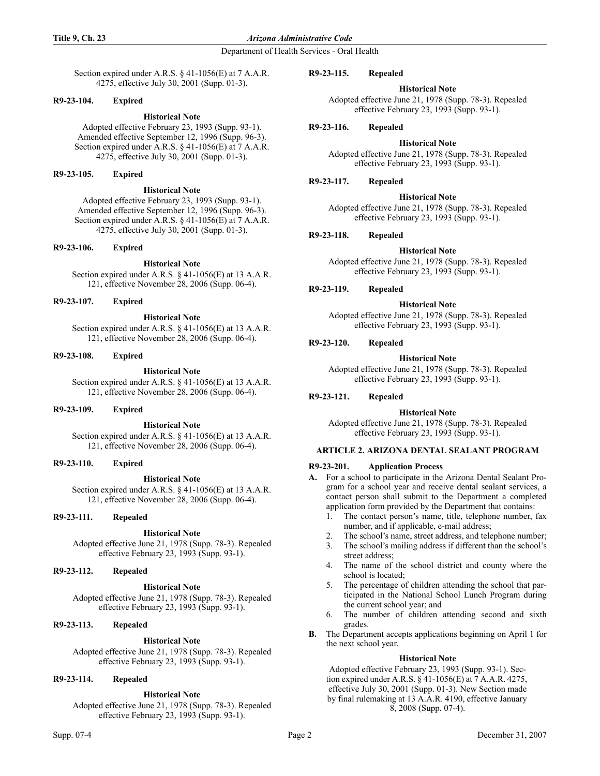### **Title 9, Ch. 23** *Arizona Administrative Code*

Department of Health Services - Oral Health

Section expired under A.R.S. § 41-1056(E) at 7 A.A.R. 4275, effective July 30, 2001 (Supp. 01-3).

## **R9-23-104. Expired**

## **Historical Note**

Adopted effective February 23, 1993 (Supp. 93-1). Amended effective September 12, 1996 (Supp. 96-3). Section expired under A.R.S. § 41-1056(E) at 7 A.A.R. 4275, effective July 30, 2001 (Supp. 01-3).

## **R9-23-105. Expired**

### **Historical Note**

Adopted effective February 23, 1993 (Supp. 93-1). Amended effective September 12, 1996 (Supp. 96-3). Section expired under A.R.S. § 41-1056(E) at 7 A.A.R. 4275, effective July 30, 2001 (Supp. 01-3).

### **R9-23-106. Expired**

# **Historical Note**

Section expired under A.R.S. § 41-1056(E) at 13 A.A.R. 121, effective November 28, 2006 (Supp. 06-4).

## **R9-23-107. Expired**

## **Historical Note**

Section expired under A.R.S. § 41-1056(E) at 13 A.A.R. 121, effective November 28, 2006 (Supp. 06-4).

# **R9-23-108. Expired**

# **Historical Note**

Section expired under A.R.S. § 41-1056(E) at 13 A.A.R. 121, effective November 28, 2006 (Supp. 06-4).

### **R9-23-109. Expired**

# **Historical Note**

Section expired under A.R.S. § 41-1056(E) at 13 A.A.R. 121, effective November 28, 2006 (Supp. 06-4).

# **R9-23-110. Expired**

# **Historical Note**

Section expired under A.R.S. § 41-1056(E) at 13 A.A.R. 121, effective November 28, 2006 (Supp. 06-4).

# **R9-23-111. Repealed**

# **Historical Note**

Adopted effective June 21, 1978 (Supp. 78-3). Repealed effective February 23, 1993 (Supp. 93-1).

### **R9-23-112. Repealed**

# **Historical Note**

Adopted effective June 21, 1978 (Supp. 78-3). Repealed effective February 23, 1993 (Supp. 93-1).

# **R9-23-113. Repealed**

# **Historical Note**

Adopted effective June 21, 1978 (Supp. 78-3). Repealed effective February 23, 1993 (Supp. 93-1).

# **R9-23-114. Repealed**

# **Historical Note**

Adopted effective June 21, 1978 (Supp. 78-3). Repealed effective February 23, 1993 (Supp. 93-1).

#### **R9-23-115. Repealed**

### **Historical Note**

Adopted effective June 21, 1978 (Supp. 78-3). Repealed effective February 23, 1993 (Supp. 93-1).

# **R9-23-116. Repealed**

# **Historical Note**

Adopted effective June 21, 1978 (Supp. 78-3). Repealed effective February 23, 1993 (Supp. 93-1).

# **R9-23-117. Repealed**

# **Historical Note**

Adopted effective June 21, 1978 (Supp. 78-3). Repealed effective February 23, 1993 (Supp. 93-1).

# **R9-23-118. Repealed**

# **Historical Note**

Adopted effective June 21, 1978 (Supp. 78-3). Repealed effective February 23, 1993 (Supp. 93-1).

# **R9-23-119. Repealed**

### **Historical Note**

Adopted effective June 21, 1978 (Supp. 78-3). Repealed effective February 23, 1993 (Supp. 93-1).

## **R9-23-120. Repealed**

# **Historical Note**

Adopted effective June 21, 1978 (Supp. 78-3). Repealed effective February 23, 1993 (Supp. 93-1).

# **R9-23-121. Repealed**

### **Historical Note**

Adopted effective June 21, 1978 (Supp. 78-3). Repealed effective February 23, 1993 (Supp. 93-1).

# **ARTICLE 2. ARIZONA DENTAL SEALANT PROGRAM**

## **R9-23-201. Application Process**

- **A.** For a school to participate in the Arizona Dental Sealant Program for a school year and receive dental sealant services, a contact person shall submit to the Department a completed application form provided by the Department that contains:
	- 1. The contact person's name, title, telephone number, fax number, and if applicable, e-mail address;
	- 2. The school's name, street address, and telephone number;
	- 3. The school's mailing address if different than the school's street address;
	- 4. The name of the school district and county where the school is located;
	- 5. The percentage of children attending the school that participated in the National School Lunch Program during the current school year; and
	- 6. The number of children attending second and sixth grades.
- **B.** The Department accepts applications beginning on April 1 for the next school year.

### **Historical Note**

Adopted effective February 23, 1993 (Supp. 93-1). Section expired under A.R.S. § 41-1056(E) at 7 A.A.R. 4275, effective July 30, 2001 (Supp. 01-3). New Section made by final rulemaking at 13 A.A.R. 4190, effective January 8, 2008 (Supp. 07-4).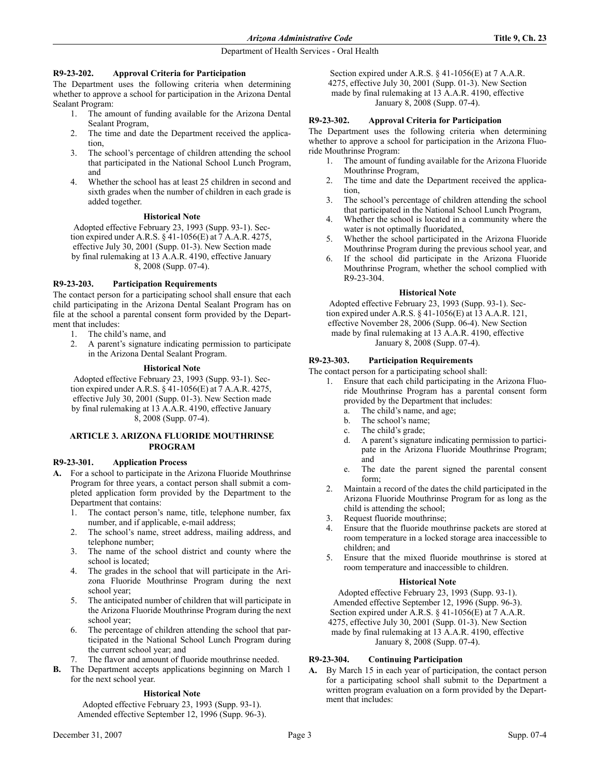# Department of Health Services - Oral Health

## **R9-23-202. Approval Criteria for Participation**

The Department uses the following criteria when determining whether to approve a school for participation in the Arizona Dental Sealant Program:

- 1. The amount of funding available for the Arizona Dental Sealant Program,
- 2. The time and date the Department received the application,
- 3. The school's percentage of children attending the school that participated in the National School Lunch Program, and
- 4. Whether the school has at least 25 children in second and sixth grades when the number of children in each grade is added together.

## **Historical Note**

Adopted effective February 23, 1993 (Supp. 93-1). Section expired under A.R.S. § 41-1056(E) at 7 A.A.R. 4275, effective July 30, 2001 (Supp. 01-3). New Section made by final rulemaking at 13 A.A.R. 4190, effective January 8, 2008 (Supp. 07-4).

## **R9-23-203. Participation Requirements**

The contact person for a participating school shall ensure that each child participating in the Arizona Dental Sealant Program has on file at the school a parental consent form provided by the Department that includes:

- 1. The child's name, and
- 2. A parent's signature indicating permission to participate in the Arizona Dental Sealant Program.

### **Historical Note**

Adopted effective February 23, 1993 (Supp. 93-1). Section expired under A.R.S. § 41-1056(E) at 7 A.A.R. 4275, effective July 30, 2001 (Supp. 01-3). New Section made by final rulemaking at 13 A.A.R. 4190, effective January 8, 2008 (Supp. 07-4).

# **ARTICLE 3. ARIZONA FLUORIDE MOUTHRINSE PROGRAM**

### **R9-23-301. Application Process**

- **A.** For a school to participate in the Arizona Fluoride Mouthrinse Program for three years, a contact person shall submit a completed application form provided by the Department to the Department that contains:
	- 1. The contact person's name, title, telephone number, fax number, and if applicable, e-mail address;
	- 2. The school's name, street address, mailing address, and telephone number;
	- 3. The name of the school district and county where the school is located;
	- 4. The grades in the school that will participate in the Arizona Fluoride Mouthrinse Program during the next school year;
	- 5. The anticipated number of children that will participate in the Arizona Fluoride Mouthrinse Program during the next school year;
	- 6. The percentage of children attending the school that participated in the National School Lunch Program during the current school year; and
	- The flavor and amount of fluoride mouthrinse needed.
- **B.** The Department accepts applications beginning on March 1 for the next school year.

# **Historical Note**

Adopted effective February 23, 1993 (Supp. 93-1). Amended effective September 12, 1996 (Supp. 96-3).

Section expired under A.R.S. § 41-1056(E) at 7 A.A.R. 4275, effective July 30, 2001 (Supp. 01-3). New Section made by final rulemaking at 13 A.A.R. 4190, effective January 8, 2008 (Supp. 07-4).

## **R9-23-302. Approval Criteria for Participation**

The Department uses the following criteria when determining whether to approve a school for participation in the Arizona Fluoride Mouthrinse Program:

- 1. The amount of funding available for the Arizona Fluoride Mouthrinse Program,
- 2. The time and date the Department received the application,
- 3. The school's percentage of children attending the school that participated in the National School Lunch Program,
- 4. Whether the school is located in a community where the water is not optimally fluoridated,
- 5. Whether the school participated in the Arizona Fluoride Mouthrinse Program during the previous school year, and
- 6. If the school did participate in the Arizona Fluoride Mouthrinse Program, whether the school complied with R9-23-304.

### **Historical Note**

Adopted effective February 23, 1993 (Supp. 93-1). Section expired under A.R.S. § 41-1056(E) at 13 A.A.R. 121, effective November 28, 2006 (Supp. 06-4). New Section made by final rulemaking at 13 A.A.R. 4190, effective January 8, 2008 (Supp. 07-4).

# **R9-23-303. Participation Requirements**

The contact person for a participating school shall:

- 1. Ensure that each child participating in the Arizona Fluoride Mouthrinse Program has a parental consent form provided by the Department that includes:
	- a. The child's name, and age;
	- b. The school's name;
	- c. The child's grade;
	- d. A parent's signature indicating permission to participate in the Arizona Fluoride Mouthrinse Program; and
	- e. The date the parent signed the parental consent form;
- 2. Maintain a record of the dates the child participated in the Arizona Fluoride Mouthrinse Program for as long as the child is attending the school;
- 3. Request fluoride mouthrinse;
- 4. Ensure that the fluoride mouthrinse packets are stored at room temperature in a locked storage area inaccessible to children; and
- 5. Ensure that the mixed fluoride mouthrinse is stored at room temperature and inaccessible to children.

### **Historical Note**

Adopted effective February 23, 1993 (Supp. 93-1). Amended effective September 12, 1996 (Supp. 96-3). Section expired under A.R.S. § 41-1056(E) at 7 A.A.R. 4275, effective July 30, 2001 (Supp. 01-3). New Section made by final rulemaking at 13 A.A.R. 4190, effective January 8, 2008 (Supp. 07-4).

# **R9-23-304. Continuing Participation**

**A.** By March 15 in each year of participation, the contact person for a participating school shall submit to the Department a written program evaluation on a form provided by the Department that includes: